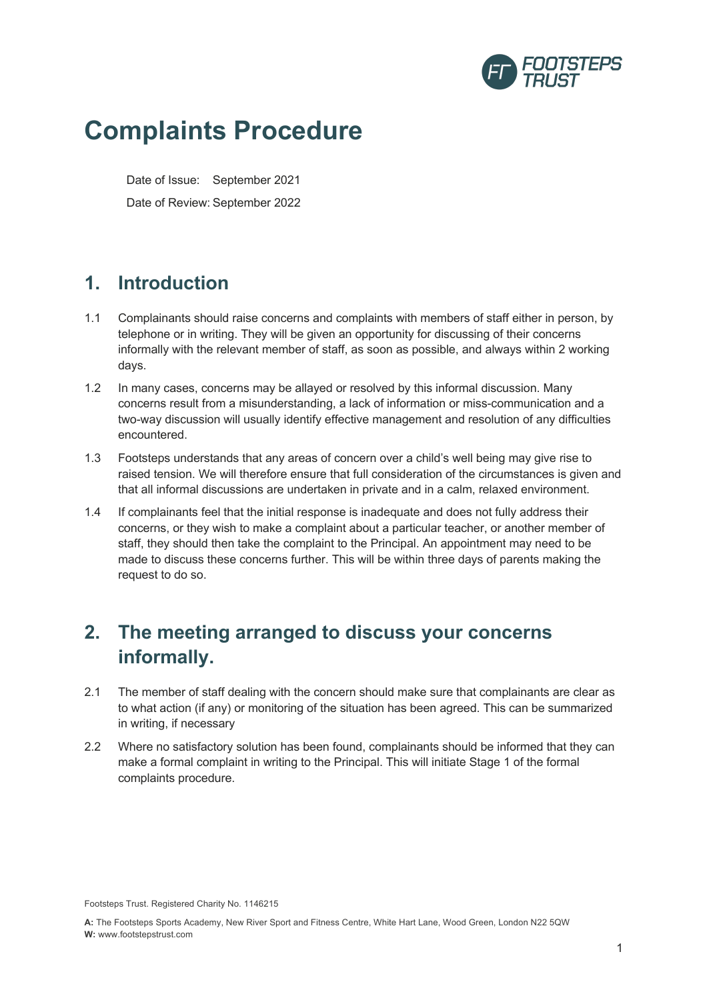

# **Complaints Procedure**

Date of Issue: September 2021 Date of Review: September 2022

#### **1. Introduction**

- 1.1 Complainants should raise concerns and complaints with members of staff either in person, by telephone or in writing. They will be given an opportunity for discussing of their concerns informally with the relevant member of staff, as soon as possible, and always within 2 working days.
- 1.2 In many cases, concerns may be allayed or resolved by this informal discussion. Many concerns result from a misunderstanding, a lack of information or miss-communication and a two-way discussion will usually identify effective management and resolution of any difficulties encountered.
- 1.3 Footsteps understands that any areas of concern over a child's well being may give rise to raised tension. We will therefore ensure that full consideration of the circumstances is given and that all informal discussions are undertaken in private and in a calm, relaxed environment.
- 1.4 If complainants feel that the initial response is inadequate and does not fully address their concerns, or they wish to make a complaint about a particular teacher, or another member of staff, they should then take the complaint to the Principal. An appointment may need to be made to discuss these concerns further. This will be within three days of parents making the request to do so.

### **2. The meeting arranged to discuss your concerns informally.**

- 2.1 The member of staff dealing with the concern should make sure that complainants are clear as to what action (if any) or monitoring of the situation has been agreed. This can be summarized in writing, if necessary
- 2.2 Where no satisfactory solution has been found, complainants should be informed that they can make a formal complaint in writing to the Principal. This will initiate Stage 1 of the formal complaints procedure.

Footsteps Trust. Registered Charity No. 1146215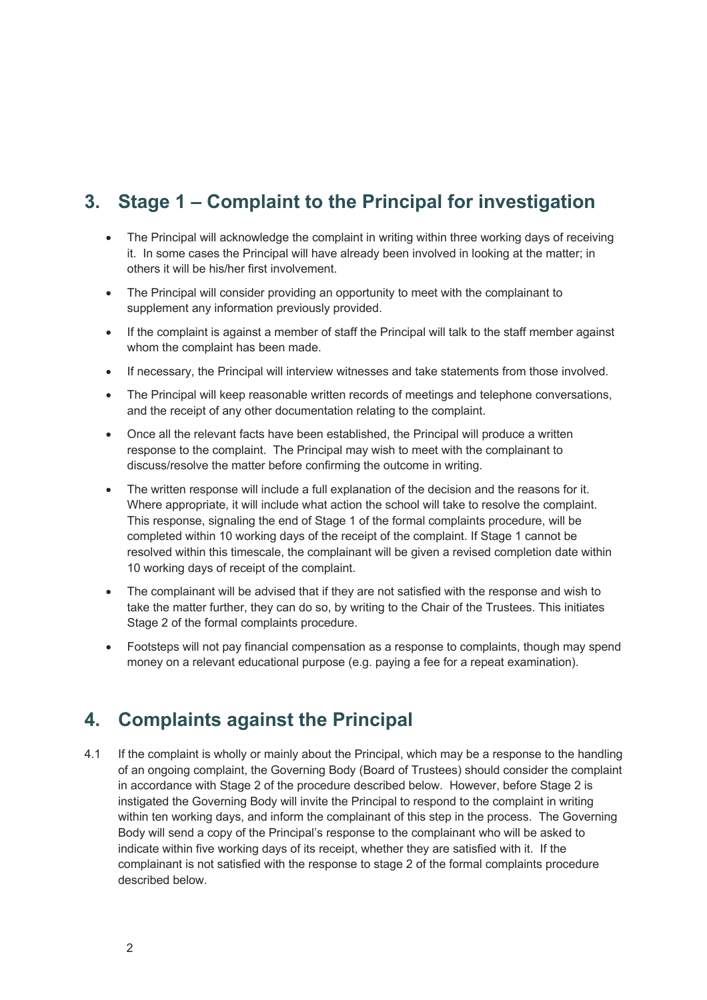## **3. Stage 1 – Complaint to the Principal for investigation**

- The Principal will acknowledge the complaint in writing within three working days of receiving it. In some cases the Principal will have already been involved in looking at the matter; in others it will be his/her first involvement.
- The Principal will consider providing an opportunity to meet with the complainant to supplement any information previously provided.
- If the complaint is against a member of staff the Principal will talk to the staff member against whom the complaint has been made.
- If necessary, the Principal will interview witnesses and take statements from those involved.
- The Principal will keep reasonable written records of meetings and telephone conversations, and the receipt of any other documentation relating to the complaint.
- Once all the relevant facts have been established, the Principal will produce a written response to the complaint. The Principal may wish to meet with the complainant to discuss/resolve the matter before confirming the outcome in writing.
- The written response will include a full explanation of the decision and the reasons for it. Where appropriate, it will include what action the school will take to resolve the complaint. This response, signaling the end of Stage 1 of the formal complaints procedure, will be completed within 10 working days of the receipt of the complaint. If Stage 1 cannot be resolved within this timescale, the complainant will be given a revised completion date within 10 working days of receipt of the complaint.
- The complainant will be advised that if they are not satisfied with the response and wish to take the matter further, they can do so, by writing to the Chair of the Trustees. This initiates Stage 2 of the formal complaints procedure.
- Footsteps will not pay financial compensation as a response to complaints, though may spend money on a relevant educational purpose (e.g. paying a fee for a repeat examination).

#### **4. Complaints against the Principal**

4.1 If the complaint is wholly or mainly about the Principal, which may be a response to the handling of an ongoing complaint, the Governing Body (Board of Trustees) should consider the complaint in accordance with Stage 2 of the procedure described below. However, before Stage 2 is instigated the Governing Body will invite the Principal to respond to the complaint in writing within ten working days, and inform the complainant of this step in the process. The Governing Body will send a copy of the Principal's response to the complainant who will be asked to indicate within five working days of its receipt, whether they are satisfied with it. If the complainant is not satisfied with the response to stage 2 of the formal complaints procedure described below.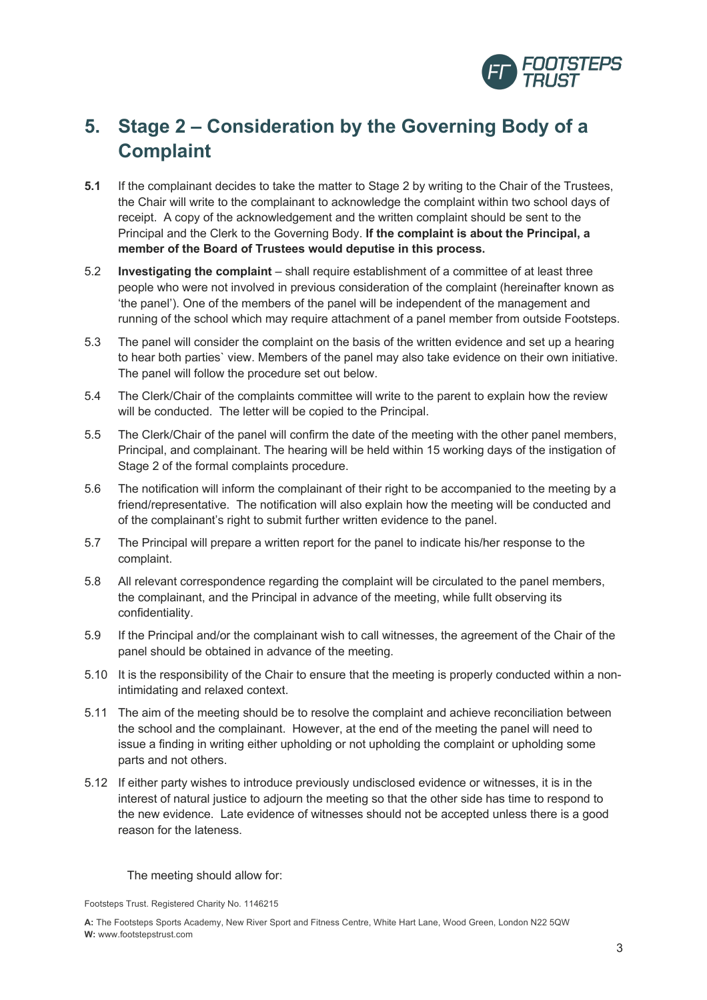

# **5. Stage 2 – Consideration by the Governing Body of a Complaint**

- **5.1** If the complainant decides to take the matter to Stage 2 by writing to the Chair of the Trustees, the Chair will write to the complainant to acknowledge the complaint within two school days of receipt. A copy of the acknowledgement and the written complaint should be sent to the Principal and the Clerk to the Governing Body. **If the complaint is about the Principal, a member of the Board of Trustees would deputise in this process.**
- 5.2 **Investigating the complaint**  shall require establishment of a committee of at least three people who were not involved in previous consideration of the complaint (hereinafter known as 'the panel'). One of the members of the panel will be independent of the management and running of the school which may require attachment of a panel member from outside Footsteps.
- 5.3 The panel will consider the complaint on the basis of the written evidence and set up a hearing to hear both parties` view. Members of the panel may also take evidence on their own initiative. The panel will follow the procedure set out below.
- 5.4 The Clerk/Chair of the complaints committee will write to the parent to explain how the review will be conducted. The letter will be copied to the Principal.
- 5.5 The Clerk/Chair of the panel will confirm the date of the meeting with the other panel members, Principal, and complainant. The hearing will be held within 15 working days of the instigation of Stage 2 of the formal complaints procedure.
- 5.6 The notification will inform the complainant of their right to be accompanied to the meeting by a friend/representative. The notification will also explain how the meeting will be conducted and of the complainant's right to submit further written evidence to the panel.
- 5.7 The Principal will prepare a written report for the panel to indicate his/her response to the complaint.
- 5.8 All relevant correspondence regarding the complaint will be circulated to the panel members, the complainant, and the Principal in advance of the meeting, while fullt observing its confidentiality.
- 5.9 If the Principal and/or the complainant wish to call witnesses, the agreement of the Chair of the panel should be obtained in advance of the meeting.
- 5.10 It is the responsibility of the Chair to ensure that the meeting is properly conducted within a nonintimidating and relaxed context.
- 5.11 The aim of the meeting should be to resolve the complaint and achieve reconciliation between the school and the complainant. However, at the end of the meeting the panel will need to issue a finding in writing either upholding or not upholding the complaint or upholding some parts and not others.
- 5.12 If either party wishes to introduce previously undisclosed evidence or witnesses, it is in the interest of natural justice to adjourn the meeting so that the other side has time to respond to the new evidence. Late evidence of witnesses should not be accepted unless there is a good reason for the lateness.

The meeting should allow for:

Footsteps Trust. Registered Charity No. 1146215

**A:** The Footsteps Sports Academy, New River Sport and Fitness Centre, White Hart Lane, Wood Green, London N22 5QW **W:** www.footstepstrust.com